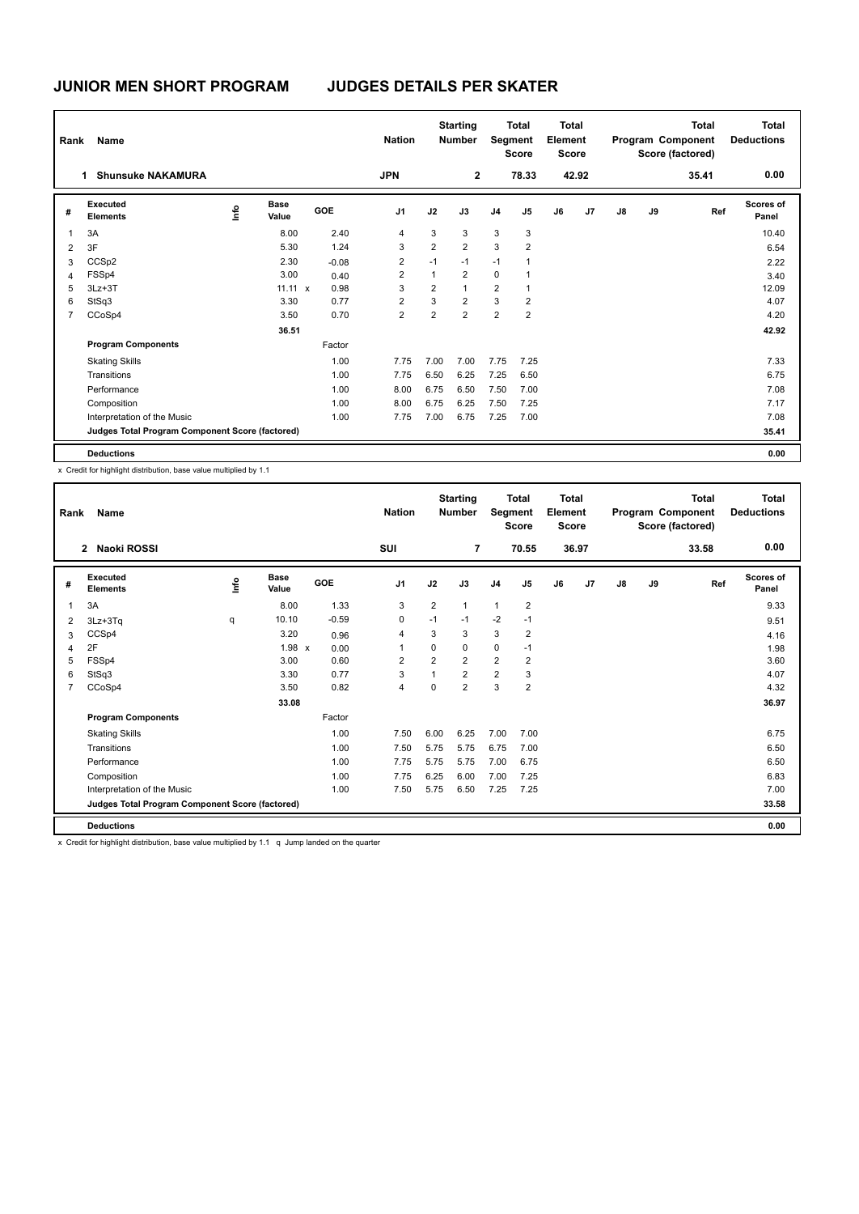| Rank           | Name                                            |      |                      |            | <b>Nation</b>  |                | <b>Starting</b><br><b>Number</b> |                | <b>Total</b><br>Segment<br><b>Score</b> | Total<br>Element<br><b>Score</b> |       | <b>Total</b><br>Program Component<br>Score (factored) |    |       | <b>Total</b><br><b>Deductions</b> |
|----------------|-------------------------------------------------|------|----------------------|------------|----------------|----------------|----------------------------------|----------------|-----------------------------------------|----------------------------------|-------|-------------------------------------------------------|----|-------|-----------------------------------|
|                | <b>Shunsuke NAKAMURA</b><br>1.                  |      |                      |            | <b>JPN</b>     |                | $\overline{2}$                   |                | 78.33                                   |                                  | 42.92 |                                                       |    | 35.41 | 0.00                              |
| #              | Executed<br><b>Elements</b>                     | ١mfo | <b>Base</b><br>Value | <b>GOE</b> | J <sub>1</sub> | J2             | J3                               | J <sub>4</sub> | J5                                      | J6                               | J7    | J8                                                    | J9 | Ref   | <b>Scores of</b><br>Panel         |
| $\overline{1}$ | 3A                                              |      | 8.00                 | 2.40       | 4              | 3              | 3                                | 3              | 3                                       |                                  |       |                                                       |    |       | 10.40                             |
| $\overline{2}$ | 3F                                              |      | 5.30                 | 1.24       | 3              | $\overline{2}$ | $\overline{2}$                   | 3              | $\overline{2}$                          |                                  |       |                                                       |    |       | 6.54                              |
| 3              | CCS <sub>p2</sub>                               |      | 2.30                 | $-0.08$    | $\overline{2}$ | $-1$           | $-1$                             | $-1$           | 1                                       |                                  |       |                                                       |    |       | 2.22                              |
| 4              | FSSp4                                           |      | 3.00                 | 0.40       | $\overline{2}$ | $\mathbf{1}$   | $\overline{2}$                   | $\mathbf 0$    | 1                                       |                                  |       |                                                       |    |       | 3.40                              |
| 5              | $3Lz + 3T$                                      |      | $11.11 \times$       | 0.98       | 3              | $\overline{2}$ | $\mathbf{1}$                     | 2              | $\overline{1}$                          |                                  |       |                                                       |    |       | 12.09                             |
| 6              | StSq3                                           |      | 3.30                 | 0.77       | $\overline{2}$ | 3              | $\overline{2}$                   | 3              | $\overline{2}$                          |                                  |       |                                                       |    |       | 4.07                              |
| 7              | CCoSp4                                          |      | 3.50                 | 0.70       | $\overline{2}$ | $\overline{2}$ | $\overline{2}$                   | $\overline{2}$ | $\overline{2}$                          |                                  |       |                                                       |    |       | 4.20                              |
|                |                                                 |      | 36.51                |            |                |                |                                  |                |                                         |                                  |       |                                                       |    |       | 42.92                             |
|                | <b>Program Components</b>                       |      |                      | Factor     |                |                |                                  |                |                                         |                                  |       |                                                       |    |       |                                   |
|                | <b>Skating Skills</b>                           |      |                      | 1.00       | 7.75           | 7.00           | 7.00                             | 7.75           | 7.25                                    |                                  |       |                                                       |    |       | 7.33                              |
|                | Transitions                                     |      |                      | 1.00       | 7.75           | 6.50           | 6.25                             | 7.25           | 6.50                                    |                                  |       |                                                       |    |       | 6.75                              |
|                | Performance                                     |      |                      | 1.00       | 8.00           | 6.75           | 6.50                             | 7.50           | 7.00                                    |                                  |       |                                                       |    |       | 7.08                              |
|                | Composition                                     |      |                      | 1.00       | 8.00           | 6.75           | 6.25                             | 7.50           | 7.25                                    |                                  |       |                                                       |    |       | 7.17                              |
|                | Interpretation of the Music                     |      |                      | 1.00       | 7.75           | 7.00           | 6.75                             | 7.25           | 7.00                                    |                                  |       |                                                       |    |       | 7.08                              |
|                | Judges Total Program Component Score (factored) |      |                      |            |                |                |                                  |                |                                         |                                  |       |                                                       |    |       | 35.41                             |
|                | <b>Deductions</b>                               |      |                      |            |                |                |                                  |                |                                         |                                  |       |                                                       |    |       | 0.00                              |

x Credit for highlight distribution, base value multiplied by 1.1

| Rank           | <b>Name</b>                                     |                                  |                      |         | <b>Nation</b>  | <b>Starting</b><br><b>Number</b> |                | Segment        | <b>Total</b><br><b>Score</b> | <b>Total</b><br>Element<br><b>Score</b> |                |               |    | Total<br>Program Component<br>Score (factored) | Total<br><b>Deductions</b> |
|----------------|-------------------------------------------------|----------------------------------|----------------------|---------|----------------|----------------------------------|----------------|----------------|------------------------------|-----------------------------------------|----------------|---------------|----|------------------------------------------------|----------------------------|
|                | Naoki ROSSI<br>$\mathbf{2}$                     |                                  |                      |         | <b>SUI</b>     |                                  | $\overline{7}$ |                | 70.55                        |                                         | 36.97          |               |    | 33.58                                          | 0.00                       |
| #              | Executed<br><b>Elements</b>                     | $\mathop{\mathsf{Irr}}\nolimits$ | <b>Base</b><br>Value | GOE     | J <sub>1</sub> | J2                               | J3             | J <sub>4</sub> | J <sub>5</sub>               | J6                                      | J <sub>7</sub> | $\mathsf{J}8$ | J9 | Ref                                            | <b>Scores of</b><br>Panel  |
| $\overline{1}$ | 3A                                              |                                  | 8.00                 | 1.33    | 3              | $\overline{2}$                   | 1              | $\mathbf{1}$   | $\overline{2}$               |                                         |                |               |    |                                                | 9.33                       |
| 2              | $3Lz + 3Tq$                                     | q                                | 10.10                | $-0.59$ | 0              | $-1$                             | $-1$           | $-2$           | $-1$                         |                                         |                |               |    |                                                | 9.51                       |
| 3              | CCSp4                                           |                                  | 3.20                 | 0.96    | $\overline{4}$ | 3                                | 3              | 3              | $\overline{2}$               |                                         |                |               |    |                                                | 4.16                       |
| 4              | 2F                                              |                                  | 1.98 x               | 0.00    | $\overline{1}$ | $\Omega$                         | 0              | $\mathbf 0$    | $-1$                         |                                         |                |               |    |                                                | 1.98                       |
| 5              | FSSp4                                           |                                  | 3.00                 | 0.60    | $\overline{2}$ | $\overline{2}$                   | $\overline{2}$ | $\overline{2}$ | $\overline{2}$               |                                         |                |               |    |                                                | 3.60                       |
| 6              | StSq3                                           |                                  | 3.30                 | 0.77    | 3              | $\overline{1}$                   | $\overline{2}$ | $\overline{2}$ | 3                            |                                         |                |               |    |                                                | 4.07                       |
| 7              | CCoSp4                                          |                                  | 3.50                 | 0.82    | $\overline{4}$ | $\Omega$                         | $\overline{2}$ | 3              | $\overline{2}$               |                                         |                |               |    |                                                | 4.32                       |
|                |                                                 |                                  | 33.08                |         |                |                                  |                |                |                              |                                         |                |               |    |                                                | 36.97                      |
|                | <b>Program Components</b>                       |                                  |                      | Factor  |                |                                  |                |                |                              |                                         |                |               |    |                                                |                            |
|                | <b>Skating Skills</b>                           |                                  |                      | 1.00    | 7.50           | 6.00                             | 6.25           | 7.00           | 7.00                         |                                         |                |               |    |                                                | 6.75                       |
|                | Transitions                                     |                                  |                      | 1.00    | 7.50           | 5.75                             | 5.75           | 6.75           | 7.00                         |                                         |                |               |    |                                                | 6.50                       |
|                | Performance                                     |                                  |                      | 1.00    | 7.75           | 5.75                             | 5.75           | 7.00           | 6.75                         |                                         |                |               |    |                                                | 6.50                       |
|                | Composition                                     |                                  |                      | 1.00    | 7.75           | 6.25                             | 6.00           | 7.00           | 7.25                         |                                         |                |               |    |                                                | 6.83                       |
|                | Interpretation of the Music                     |                                  |                      | 1.00    | 7.50           | 5.75                             | 6.50           | 7.25           | 7.25                         |                                         |                |               |    |                                                | 7.00                       |
|                | Judges Total Program Component Score (factored) |                                  |                      |         |                |                                  |                |                |                              |                                         |                |               |    |                                                | 33.58                      |
|                | <b>Deductions</b>                               |                                  |                      |         |                |                                  |                |                |                              |                                         |                |               |    |                                                | 0.00                       |

x Credit for highlight distribution, base value multiplied by 1.1 q Jump landed on the quarter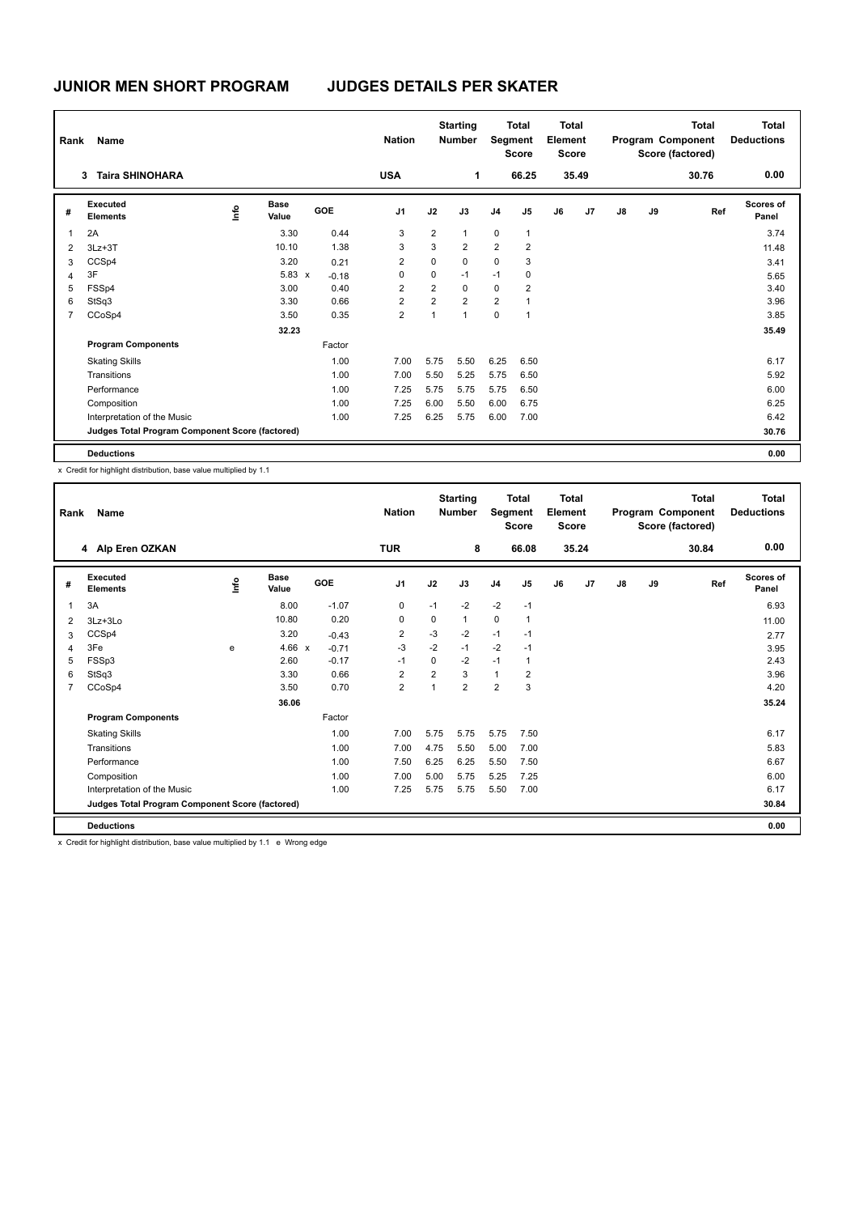| Rank           | Name                                            |      |                      |            |         | <b>Nation</b>  |                | <b>Starting</b><br><b>Number</b> |                | <b>Total</b><br>Segment<br><b>Score</b> | Total<br>Element<br><b>Score</b> |       | <b>Total</b><br>Program Component<br>Score (factored) |    |       | <b>Total</b><br><b>Deductions</b> |
|----------------|-------------------------------------------------|------|----------------------|------------|---------|----------------|----------------|----------------------------------|----------------|-----------------------------------------|----------------------------------|-------|-------------------------------------------------------|----|-------|-----------------------------------|
|                | <b>Taira SHINOHARA</b><br>3                     |      |                      |            |         | <b>USA</b>     |                | 1                                |                | 66.25                                   |                                  | 35.49 |                                                       |    | 30.76 | 0.00                              |
| #              | Executed<br><b>Elements</b>                     | ١mfo | <b>Base</b><br>Value | <b>GOE</b> |         | J <sub>1</sub> | J2             | J3                               | J <sub>4</sub> | J5                                      | J6                               | J7    | J8                                                    | J9 | Ref   | <b>Scores of</b><br>Panel         |
| $\overline{1}$ | 2A                                              |      | 3.30                 |            | 0.44    | 3              | $\overline{2}$ | $\mathbf{1}$                     | $\mathbf 0$    | $\overline{1}$                          |                                  |       |                                                       |    |       | 3.74                              |
| $\overline{2}$ | $3Lz + 3T$                                      |      | 10.10                |            | 1.38    | 3              | 3              | $\overline{2}$                   | $\overline{2}$ | $\overline{2}$                          |                                  |       |                                                       |    |       | 11.48                             |
| 3              | CCSp4                                           |      | 3.20                 |            | 0.21    | 2              | 0              | $\mathbf 0$                      | 0              | 3                                       |                                  |       |                                                       |    |       | 3.41                              |
| 4              | 3F                                              |      | $5.83 \times$        |            | $-0.18$ | 0              | 0              | $-1$                             | $-1$           | 0                                       |                                  |       |                                                       |    |       | 5.65                              |
| 5              | FSSp4                                           |      | 3.00                 |            | 0.40    | $\overline{2}$ | $\overline{2}$ | $\mathbf 0$                      | $\mathbf 0$    | $\overline{2}$                          |                                  |       |                                                       |    |       | 3.40                              |
| 6              | StSq3                                           |      | 3.30                 |            | 0.66    | $\overline{2}$ | $\overline{2}$ | $\overline{2}$                   | $\overline{2}$ | 1                                       |                                  |       |                                                       |    |       | 3.96                              |
| $\overline{7}$ | CCoSp4                                          |      | 3.50                 |            | 0.35    | $\overline{2}$ | 1              | $\overline{1}$                   | 0              | $\overline{1}$                          |                                  |       |                                                       |    |       | 3.85                              |
|                |                                                 |      | 32.23                |            |         |                |                |                                  |                |                                         |                                  |       |                                                       |    |       | 35.49                             |
|                | <b>Program Components</b>                       |      |                      | Factor     |         |                |                |                                  |                |                                         |                                  |       |                                                       |    |       |                                   |
|                | <b>Skating Skills</b>                           |      |                      |            | 1.00    | 7.00           | 5.75           | 5.50                             | 6.25           | 6.50                                    |                                  |       |                                                       |    |       | 6.17                              |
|                | Transitions                                     |      |                      |            | 1.00    | 7.00           | 5.50           | 5.25                             | 5.75           | 6.50                                    |                                  |       |                                                       |    |       | 5.92                              |
|                | Performance                                     |      |                      |            | 1.00    | 7.25           | 5.75           | 5.75                             | 5.75           | 6.50                                    |                                  |       |                                                       |    |       | 6.00                              |
|                | Composition                                     |      |                      |            | 1.00    | 7.25           | 6.00           | 5.50                             | 6.00           | 6.75                                    |                                  |       |                                                       |    |       | 6.25                              |
|                | Interpretation of the Music                     |      |                      |            | 1.00    | 7.25           | 6.25           | 5.75                             | 6.00           | 7.00                                    |                                  |       |                                                       |    |       | 6.42                              |
|                | Judges Total Program Component Score (factored) |      |                      |            |         |                |                |                                  |                |                                         |                                  |       |                                                       |    |       | 30.76                             |
|                | <b>Deductions</b>                               |      |                      |            |         |                |                |                                  |                |                                         |                                  |       |                                                       |    |       | 0.00                              |

x Credit for highlight distribution, base value multiplied by 1.1

| Rank           | Name                                            |                                  |                      |            | <b>Nation</b>  | <b>Starting</b><br><b>Total</b><br>Segment<br><b>Number</b><br><b>Score</b> |                |                | <b>Total</b><br>Element<br><b>Score</b> |    |                |    | <b>Total</b><br>Program Component<br>Score (factored) | <b>Total</b><br><b>Deductions</b> |                           |
|----------------|-------------------------------------------------|----------------------------------|----------------------|------------|----------------|-----------------------------------------------------------------------------|----------------|----------------|-----------------------------------------|----|----------------|----|-------------------------------------------------------|-----------------------------------|---------------------------|
|                | 4 Alp Eren OZKAN                                |                                  |                      |            | <b>TUR</b>     |                                                                             | 8              |                | 66.08                                   |    | 35.24          |    |                                                       | 30.84                             | 0.00                      |
| #              | <b>Executed</b><br><b>Elements</b>              | $\mathop{\mathsf{Irr}}\nolimits$ | <b>Base</b><br>Value | <b>GOE</b> | J <sub>1</sub> | J2                                                                          | J3             | J <sub>4</sub> | J <sub>5</sub>                          | J6 | J <sub>7</sub> | J8 | J9                                                    | Ref                               | <b>Scores of</b><br>Panel |
| $\overline{1}$ | 3A                                              |                                  | 8.00                 | $-1.07$    | $\pmb{0}$      | $-1$                                                                        | $-2$           | $-2$           | $-1$                                    |    |                |    |                                                       |                                   | 6.93                      |
| 2              | 3Lz+3Lo                                         |                                  | 10.80                | 0.20       | 0              | $\Omega$                                                                    | 1              | $\mathbf 0$    | 1                                       |    |                |    |                                                       |                                   | 11.00                     |
| 3              | CCSp4                                           |                                  | 3.20                 | $-0.43$    | $\overline{2}$ | $-3$                                                                        | $-2$           | $-1$           | $-1$                                    |    |                |    |                                                       |                                   | 2.77                      |
| 4              | 3Fe                                             | e                                | $4.66 \times$        | $-0.71$    | $-3$           | $-2$                                                                        | $-1$           | $-2$           | $-1$                                    |    |                |    |                                                       |                                   | 3.95                      |
| 5              | FSSp3                                           |                                  | 2.60                 | $-0.17$    | $-1$           | 0                                                                           | $-2$           | $-1$           | 1                                       |    |                |    |                                                       |                                   | 2.43                      |
| 6              | StSq3                                           |                                  | 3.30                 | 0.66       | $\overline{2}$ | $\overline{2}$                                                              | 3              | $\mathbf{1}$   | 2                                       |    |                |    |                                                       |                                   | 3.96                      |
| 7              | CCoSp4                                          |                                  | 3.50                 | 0.70       | $\overline{2}$ | 1                                                                           | $\overline{2}$ | $\overline{2}$ | 3                                       |    |                |    |                                                       |                                   | 4.20                      |
|                |                                                 |                                  | 36.06                |            |                |                                                                             |                |                |                                         |    |                |    |                                                       |                                   | 35.24                     |
|                | <b>Program Components</b>                       |                                  |                      | Factor     |                |                                                                             |                |                |                                         |    |                |    |                                                       |                                   |                           |
|                | <b>Skating Skills</b>                           |                                  |                      | 1.00       | 7.00           | 5.75                                                                        | 5.75           | 5.75           | 7.50                                    |    |                |    |                                                       |                                   | 6.17                      |
|                | Transitions                                     |                                  |                      | 1.00       | 7.00           | 4.75                                                                        | 5.50           | 5.00           | 7.00                                    |    |                |    |                                                       |                                   | 5.83                      |
|                | Performance                                     |                                  |                      | 1.00       | 7.50           | 6.25                                                                        | 6.25           | 5.50           | 7.50                                    |    |                |    |                                                       |                                   | 6.67                      |
|                | Composition                                     |                                  |                      | 1.00       | 7.00           | 5.00                                                                        | 5.75           | 5.25           | 7.25                                    |    |                |    |                                                       |                                   | 6.00                      |
|                | Interpretation of the Music                     |                                  |                      | 1.00       | 7.25           | 5.75                                                                        | 5.75           | 5.50           | 7.00                                    |    |                |    |                                                       |                                   | 6.17                      |
|                | Judges Total Program Component Score (factored) |                                  |                      |            |                |                                                                             |                |                |                                         |    |                |    |                                                       |                                   | 30.84                     |
|                | <b>Deductions</b>                               |                                  |                      |            |                |                                                                             |                |                |                                         |    |                |    |                                                       |                                   | 0.00                      |

x Credit for highlight distribution, base value multiplied by 1.1 e Wrong edge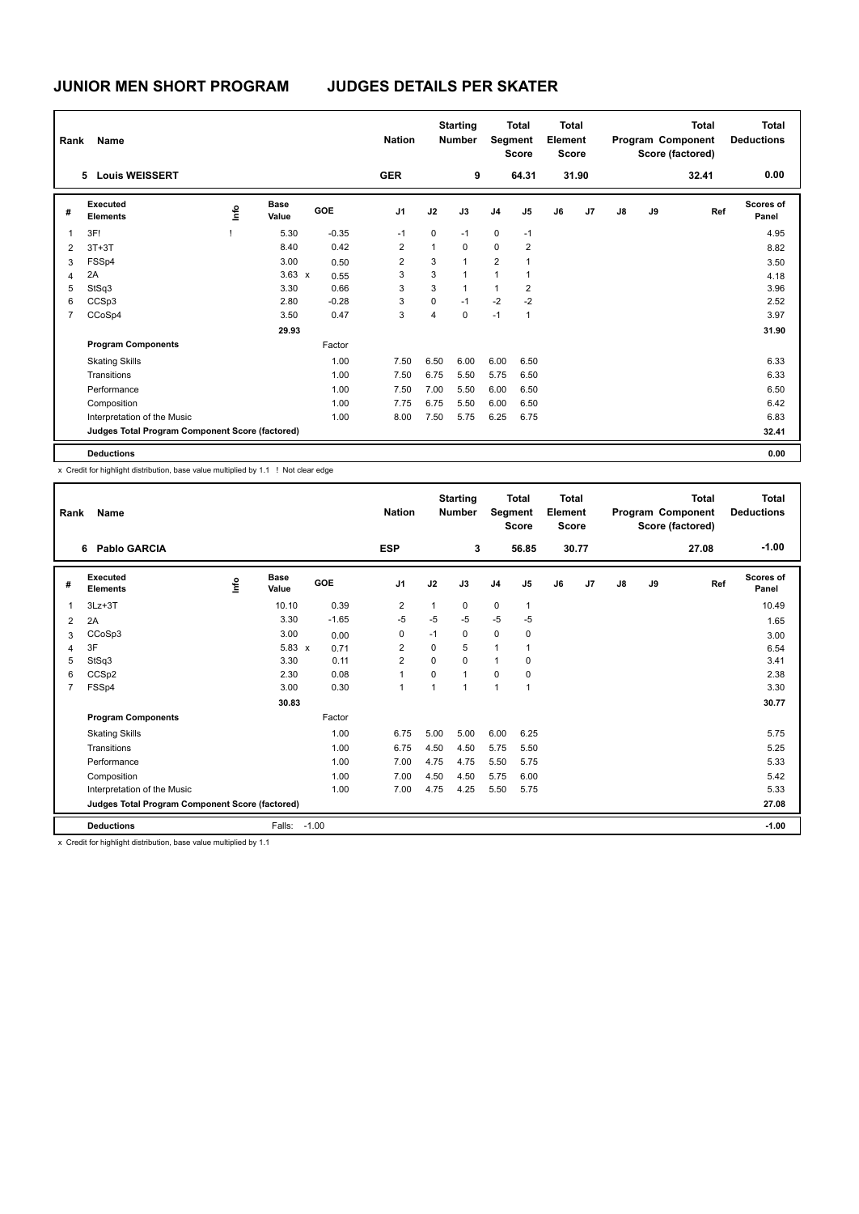| Rank           | Name                                            |      |                      |         | <b>Nation</b>  |              | <b>Starting</b><br><b>Number</b> |                | <b>Total</b><br>Segment<br><b>Score</b> | Total<br>Element<br><b>Score</b> |       | <b>Total</b><br>Program Component<br>Score (factored) |    |       | <b>Total</b><br><b>Deductions</b> |
|----------------|-------------------------------------------------|------|----------------------|---------|----------------|--------------|----------------------------------|----------------|-----------------------------------------|----------------------------------|-------|-------------------------------------------------------|----|-------|-----------------------------------|
|                | <b>Louis WEISSERT</b><br>5.                     |      |                      |         | <b>GER</b>     |              | 9                                |                | 64.31                                   |                                  | 31.90 |                                                       |    | 32.41 | 0.00                              |
| #              | Executed<br><b>Elements</b>                     | lnfo | <b>Base</b><br>Value | GOE     | J <sub>1</sub> | J2           | J3                               | J <sub>4</sub> | J <sub>5</sub>                          | J6                               | J7    | J8                                                    | J9 | Ref   | Scores of<br>Panel                |
| $\overline{1}$ | 3F!                                             |      | 5.30                 | $-0.35$ | $-1$           | 0            | $-1$                             | $\mathbf 0$    | $-1$                                    |                                  |       |                                                       |    |       | 4.95                              |
| $\overline{2}$ | $3T+3T$                                         |      | 8.40                 | 0.42    | $\overline{2}$ | $\mathbf{1}$ | $\Omega$                         | $\Omega$       | $\overline{2}$                          |                                  |       |                                                       |    |       | 8.82                              |
| 3              | FSSp4                                           |      | 3.00                 | 0.50    | 2              | 3            | $\overline{1}$                   | $\overline{2}$ | $\overline{1}$                          |                                  |       |                                                       |    |       | 3.50                              |
| 4              | 2A                                              |      | $3.63 \times$        | 0.55    | 3              | 3            | $\mathbf{1}$                     | 1              | 1                                       |                                  |       |                                                       |    |       | 4.18                              |
| 5              | StSq3                                           |      | 3.30                 | 0.66    | 3              | 3            | $\mathbf{1}$                     | $\mathbf{1}$   | $\overline{2}$                          |                                  |       |                                                       |    |       | 3.96                              |
| 6              | CCSp3                                           |      | 2.80                 | $-0.28$ | 3              | 0            | $-1$                             | $-2$           | $-2$                                    |                                  |       |                                                       |    |       | 2.52                              |
| $\overline{7}$ | CCoSp4                                          |      | 3.50                 | 0.47    | 3              | 4            | $\mathbf 0$                      | $-1$           | $\mathbf 1$                             |                                  |       |                                                       |    |       | 3.97                              |
|                |                                                 |      | 29.93                |         |                |              |                                  |                |                                         |                                  |       |                                                       |    |       | 31.90                             |
|                | <b>Program Components</b>                       |      |                      | Factor  |                |              |                                  |                |                                         |                                  |       |                                                       |    |       |                                   |
|                | <b>Skating Skills</b>                           |      |                      | 1.00    | 7.50           | 6.50         | 6.00                             | 6.00           | 6.50                                    |                                  |       |                                                       |    |       | 6.33                              |
|                | Transitions                                     |      |                      | 1.00    | 7.50           | 6.75         | 5.50                             | 5.75           | 6.50                                    |                                  |       |                                                       |    |       | 6.33                              |
|                | Performance                                     |      |                      | 1.00    | 7.50           | 7.00         | 5.50                             | 6.00           | 6.50                                    |                                  |       |                                                       |    |       | 6.50                              |
|                | Composition                                     |      |                      | 1.00    | 7.75           | 6.75         | 5.50                             | 6.00           | 6.50                                    |                                  |       |                                                       |    |       | 6.42                              |
|                | Interpretation of the Music                     |      |                      | 1.00    | 8.00           | 7.50         | 5.75                             | 6.25           | 6.75                                    |                                  |       |                                                       |    |       | 6.83                              |
|                | Judges Total Program Component Score (factored) |      |                      |         |                |              |                                  |                |                                         |                                  |       |                                                       |    |       | 32.41                             |
|                | <b>Deductions</b>                               |      |                      |         |                |              |                                  |                |                                         |                                  |       |                                                       |    |       | 0.00                              |

x Credit for highlight distribution, base value multiplied by 1.1 ! Not clear edge

| Rank           | Name                                            |    |                      |            | <b>Nation</b>  |              | <b>Starting</b><br><b>Total</b><br>Segment<br><b>Number</b><br><b>Score</b> |                |                | <b>Total</b><br>Element<br><b>Score</b> |                |    |    | <b>Total</b><br>Program Component<br>Score (factored) | <b>Total</b><br><b>Deductions</b> |
|----------------|-------------------------------------------------|----|----------------------|------------|----------------|--------------|-----------------------------------------------------------------------------|----------------|----------------|-----------------------------------------|----------------|----|----|-------------------------------------------------------|-----------------------------------|
|                | 6 Pablo GARCIA                                  |    |                      |            | <b>ESP</b>     |              | 3                                                                           |                | 56.85          |                                         | 30.77          |    |    | 27.08                                                 | $-1.00$                           |
| #              | Executed<br><b>Elements</b>                     | ۴ů | <b>Base</b><br>Value | <b>GOE</b> | J <sub>1</sub> | J2           | J3                                                                          | J <sub>4</sub> | J <sub>5</sub> | J6                                      | J <sub>7</sub> | J8 | J9 | Ref                                                   | Scores of<br>Panel                |
| 1              | $3Lz + 3T$                                      |    | 10.10                | 0.39       | $\overline{2}$ | $\mathbf{1}$ | $\mathbf 0$                                                                 | $\mathbf 0$    | $\mathbf{1}$   |                                         |                |    |    |                                                       | 10.49                             |
| 2              | 2A                                              |    | 3.30                 | $-1.65$    | $-5$           | $-5$         | $-5$                                                                        | $-5$           | $-5$           |                                         |                |    |    |                                                       | 1.65                              |
| 3              | CCoSp3                                          |    | 3.00                 | 0.00       | 0              | $-1$         | 0                                                                           | 0              | 0              |                                         |                |    |    |                                                       | 3.00                              |
| 4              | 3F                                              |    | $5.83 \times$        | 0.71       | $\overline{2}$ | $\Omega$     | 5                                                                           | $\mathbf{1}$   | 1              |                                         |                |    |    |                                                       | 6.54                              |
| 5              | StSq3                                           |    | 3.30                 | 0.11       | $\overline{2}$ | $\mathbf 0$  | $\Omega$                                                                    | 1              | 0              |                                         |                |    |    |                                                       | 3.41                              |
| 6              | CCS <sub>p2</sub>                               |    | 2.30                 | 0.08       | $\overline{1}$ | $\Omega$     | $\mathbf{1}$                                                                | $\Omega$       | $\mathbf 0$    |                                         |                |    |    |                                                       | 2.38                              |
| $\overline{7}$ | FSSp4                                           |    | 3.00                 | 0.30       | $\overline{1}$ | 1            | 1                                                                           | 1              | $\overline{1}$ |                                         |                |    |    |                                                       | 3.30                              |
|                |                                                 |    | 30.83                |            |                |              |                                                                             |                |                |                                         |                |    |    |                                                       | 30.77                             |
|                | <b>Program Components</b>                       |    |                      | Factor     |                |              |                                                                             |                |                |                                         |                |    |    |                                                       |                                   |
|                | <b>Skating Skills</b>                           |    |                      | 1.00       | 6.75           | 5.00         | 5.00                                                                        | 6.00           | 6.25           |                                         |                |    |    |                                                       | 5.75                              |
|                | Transitions                                     |    |                      | 1.00       | 6.75           | 4.50         | 4.50                                                                        | 5.75           | 5.50           |                                         |                |    |    |                                                       | 5.25                              |
|                | Performance                                     |    |                      | 1.00       | 7.00           | 4.75         | 4.75                                                                        | 5.50           | 5.75           |                                         |                |    |    |                                                       | 5.33                              |
|                | Composition                                     |    |                      | 1.00       | 7.00           | 4.50         | 4.50                                                                        | 5.75           | 6.00           |                                         |                |    |    |                                                       | 5.42                              |
|                | Interpretation of the Music                     |    |                      | 1.00       | 7.00           | 4.75         | 4.25                                                                        | 5.50           | 5.75           |                                         |                |    |    |                                                       | 5.33                              |
|                | Judges Total Program Component Score (factored) |    |                      |            |                |              |                                                                             |                |                |                                         |                |    |    |                                                       | 27.08                             |
|                | <b>Deductions</b>                               |    | Falls:               | $-1.00$    |                |              |                                                                             |                |                |                                         |                |    |    |                                                       | $-1.00$                           |

x Credit for highlight distribution, base value multiplied by 1.1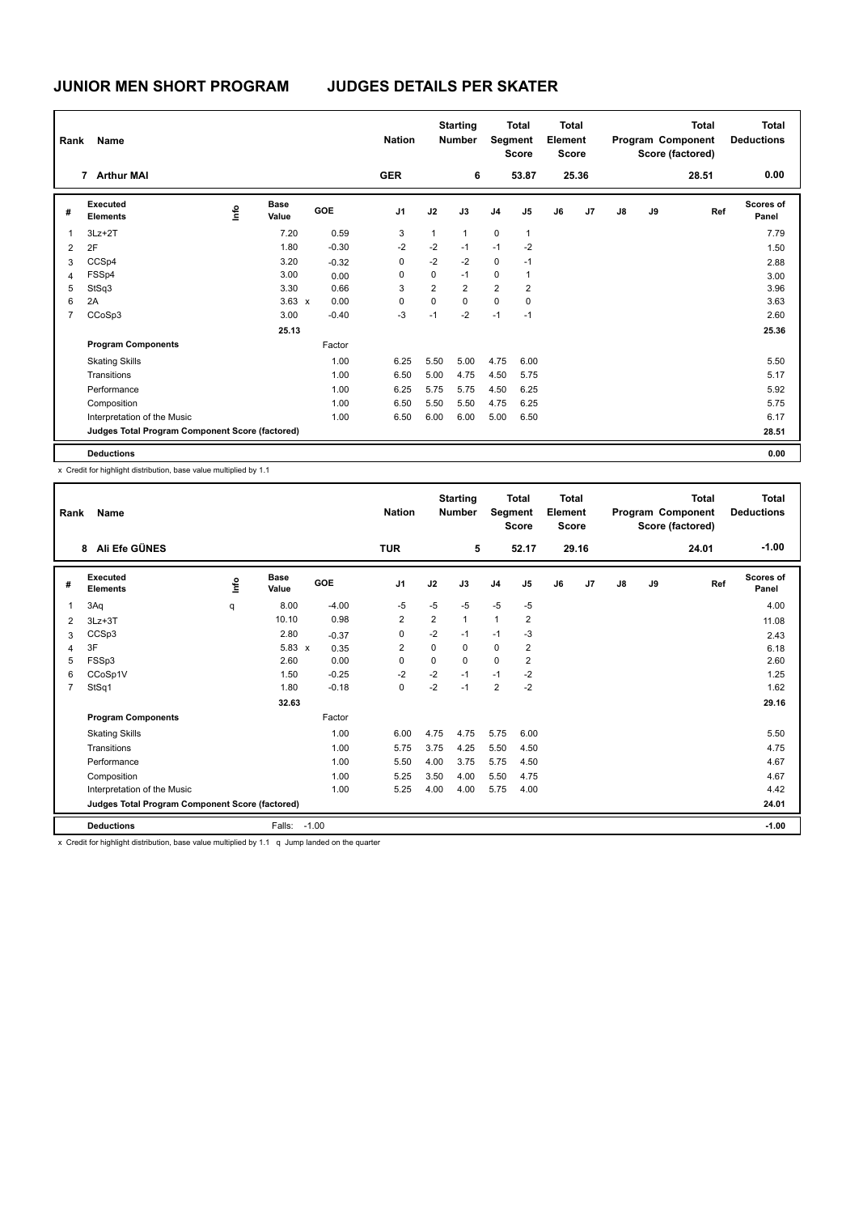| Rank           | Name                                            |    |                      |            | <b>Nation</b>  |                | <b>Starting</b><br><b>Number</b> |                | <b>Total</b><br>Segment<br><b>Score</b> | <b>Total</b><br>Element<br><b>Score</b> |       | <b>Total</b><br>Program Component<br>Score (factored) |    |       | Total<br><b>Deductions</b> |
|----------------|-------------------------------------------------|----|----------------------|------------|----------------|----------------|----------------------------------|----------------|-----------------------------------------|-----------------------------------------|-------|-------------------------------------------------------|----|-------|----------------------------|
|                | 7 Arthur MAI                                    |    |                      |            | <b>GER</b>     |                | 6                                |                | 53.87                                   |                                         | 25.36 |                                                       |    | 28.51 | 0.00                       |
| #              | Executed<br><b>Elements</b>                     | ١m | <b>Base</b><br>Value | <b>GOE</b> | J <sub>1</sub> | J2             | J3                               | J <sub>4</sub> | J <sub>5</sub>                          | J6                                      | J7    | J8                                                    | J9 | Ref   | <b>Scores of</b><br>Panel  |
| $\overline{1}$ | $3Lz + 2T$                                      |    | 7.20                 | 0.59       | 3              | $\mathbf{1}$   | $\mathbf{1}$                     | $\mathbf 0$    | $\overline{1}$                          |                                         |       |                                                       |    |       | 7.79                       |
| 2              | 2F                                              |    | 1.80                 | $-0.30$    | $-2$           | $-2$           | $-1$                             | $-1$           | $-2$                                    |                                         |       |                                                       |    |       | 1.50                       |
| 3              | CCSp4                                           |    | 3.20                 | $-0.32$    | 0              | $-2$           | $-2$                             | 0              | $-1$                                    |                                         |       |                                                       |    |       | 2.88                       |
| $\overline{4}$ | FSSp4                                           |    | 3.00                 | 0.00       | 0              | 0              | $-1$                             | 0              | $\mathbf{1}$                            |                                         |       |                                                       |    |       | 3.00                       |
| 5              | StSq3                                           |    | 3.30                 | 0.66       | 3              | $\overline{2}$ | $\overline{2}$                   | $\overline{2}$ | $\overline{2}$                          |                                         |       |                                                       |    |       | 3.96                       |
| 6              | 2A                                              |    | $3.63 \times$        | 0.00       | 0              | 0              | $\mathbf 0$                      | $\mathbf 0$    | 0                                       |                                         |       |                                                       |    |       | 3.63                       |
| $\overline{7}$ | CCoSp3                                          |    | 3.00                 | $-0.40$    | -3             | $-1$           | $-2$                             | $-1$           | $-1$                                    |                                         |       |                                                       |    |       | 2.60                       |
|                |                                                 |    | 25.13                |            |                |                |                                  |                |                                         |                                         |       |                                                       |    |       | 25.36                      |
|                | <b>Program Components</b>                       |    |                      | Factor     |                |                |                                  |                |                                         |                                         |       |                                                       |    |       |                            |
|                | <b>Skating Skills</b>                           |    |                      | 1.00       | 6.25           | 5.50           | 5.00                             | 4.75           | 6.00                                    |                                         |       |                                                       |    |       | 5.50                       |
|                | Transitions                                     |    |                      | 1.00       | 6.50           | 5.00           | 4.75                             | 4.50           | 5.75                                    |                                         |       |                                                       |    |       | 5.17                       |
|                | Performance                                     |    |                      | 1.00       | 6.25           | 5.75           | 5.75                             | 4.50           | 6.25                                    |                                         |       |                                                       |    |       | 5.92                       |
|                | Composition                                     |    |                      | 1.00       | 6.50           | 5.50           | 5.50                             | 4.75           | 6.25                                    |                                         |       |                                                       |    |       | 5.75                       |
|                | Interpretation of the Music                     |    |                      | 1.00       | 6.50           | 6.00           | 6.00                             | 5.00           | 6.50                                    |                                         |       |                                                       |    |       | 6.17                       |
|                | Judges Total Program Component Score (factored) |    |                      |            |                |                |                                  |                |                                         |                                         |       |                                                       |    |       | 28.51                      |
|                | <b>Deductions</b>                               |    |                      |            |                |                |                                  |                |                                         |                                         |       |                                                       |    |       | 0.00                       |

x Credit for highlight distribution, base value multiplied by 1.1

| Rank           | Name                                            |      |                      |            | <b>Nation</b>  | <b>Starting</b><br><b>Total</b><br>Segment<br><b>Number</b><br><b>Score</b> |              | <b>Total</b><br>Element<br><b>Score</b> |                |    |                | <b>Total</b><br>Program Component<br>Score (factored) | <b>Total</b><br><b>Deductions</b> |       |                           |
|----------------|-------------------------------------------------|------|----------------------|------------|----------------|-----------------------------------------------------------------------------|--------------|-----------------------------------------|----------------|----|----------------|-------------------------------------------------------|-----------------------------------|-------|---------------------------|
|                | Ali Efe GÜNES<br>8                              |      |                      |            | <b>TUR</b>     |                                                                             | 5            |                                         | 52.17          |    | 29.16          |                                                       |                                   | 24.01 | $-1.00$                   |
| #              | Executed<br><b>Elements</b>                     | lnfo | <b>Base</b><br>Value | <b>GOE</b> | J <sub>1</sub> | J2                                                                          | J3           | J <sub>4</sub>                          | J5             | J6 | J <sub>7</sub> | $\mathsf{J}8$                                         | J9                                | Ref   | <b>Scores of</b><br>Panel |
| $\overline{1}$ | 3Aq                                             | q    | 8.00                 | $-4.00$    | $-5$           | $-5$                                                                        | $-5$         | $-5$                                    | $-5$           |    |                |                                                       |                                   |       | 4.00                      |
| $\overline{2}$ | $3Lz + 3T$                                      |      | 10.10                | 0.98       | $\overline{2}$ | $\overline{2}$                                                              | $\mathbf{1}$ | $\mathbf{1}$                            | $\overline{2}$ |    |                |                                                       |                                   |       | 11.08                     |
| 3              | CCSp3                                           |      | 2.80                 | $-0.37$    | 0              | $-2$                                                                        | $-1$         | $-1$                                    | $-3$           |    |                |                                                       |                                   |       | 2.43                      |
| $\overline{4}$ | 3F                                              |      | $5.83 \times$        | 0.35       | 2              | $\Omega$                                                                    | $\Omega$     | 0                                       | $\overline{2}$ |    |                |                                                       |                                   |       | 6.18                      |
| 5              | FSSp3                                           |      | 2.60                 | 0.00       | $\Omega$       | $\mathbf 0$                                                                 | $\Omega$     | $\mathbf 0$                             | $\overline{2}$ |    |                |                                                       |                                   |       | 2.60                      |
| 6              | CCoSp1V                                         |      | 1.50                 | $-0.25$    | $-2$           | $-2$                                                                        | $-1$         | $-1$                                    | $-2$           |    |                |                                                       |                                   |       | 1.25                      |
| 7              | StSq1                                           |      | 1.80                 | $-0.18$    | 0              | $-2$                                                                        | $-1$         | $\overline{2}$                          | $-2$           |    |                |                                                       |                                   |       | 1.62                      |
|                |                                                 |      | 32.63                |            |                |                                                                             |              |                                         |                |    |                |                                                       |                                   |       | 29.16                     |
|                | <b>Program Components</b>                       |      |                      | Factor     |                |                                                                             |              |                                         |                |    |                |                                                       |                                   |       |                           |
|                | <b>Skating Skills</b>                           |      |                      | 1.00       | 6.00           | 4.75                                                                        | 4.75         | 5.75                                    | 6.00           |    |                |                                                       |                                   |       | 5.50                      |
|                | Transitions                                     |      |                      | 1.00       | 5.75           | 3.75                                                                        | 4.25         | 5.50                                    | 4.50           |    |                |                                                       |                                   |       | 4.75                      |
|                | Performance                                     |      |                      | 1.00       | 5.50           | 4.00                                                                        | 3.75         | 5.75                                    | 4.50           |    |                |                                                       |                                   |       | 4.67                      |
|                | Composition                                     |      |                      | 1.00       | 5.25           | 3.50                                                                        | 4.00         | 5.50                                    | 4.75           |    |                |                                                       |                                   |       | 4.67                      |
|                | Interpretation of the Music                     |      |                      | 1.00       | 5.25           | 4.00                                                                        | 4.00         | 5.75                                    | 4.00           |    |                |                                                       |                                   |       | 4.42                      |
|                | Judges Total Program Component Score (factored) |      |                      |            |                |                                                                             |              |                                         |                |    |                |                                                       |                                   |       | 24.01                     |
|                | <b>Deductions</b>                               |      | Falls:               | $-1.00$    |                |                                                                             |              |                                         |                |    |                |                                                       |                                   |       | $-1.00$                   |

x Credit for highlight distribution, base value multiplied by 1.1 q Jump landed on the quarter